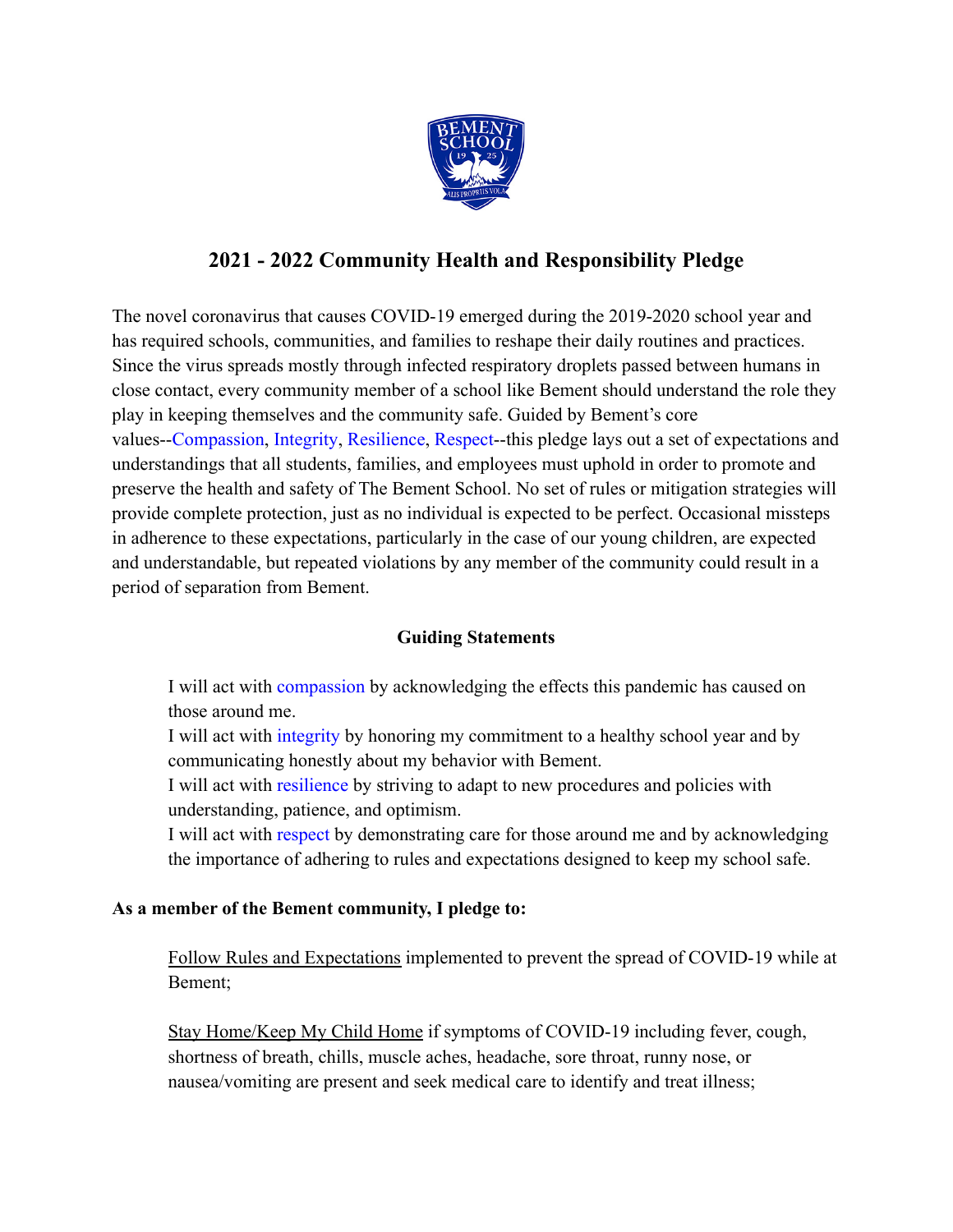

## **2021 - 2022 Community Health and Responsibility Pledge**

The novel coronavirus that causes COVID-19 emerged during the 2019-2020 school year and has required schools, communities, and families to reshape their daily routines and practices. Since the virus spreads mostly through infected respiratory droplets passed between humans in close contact, every community member of a school like Bement should understand the role they play in keeping themselves and the community safe. Guided by Bement's core values--Compassion, Integrity, Resilience, Respect--this pledge lays out a set of expectations and understandings that all students, families, and employees must uphold in order to promote and preserve the health and safety of The Bement School. No set of rules or mitigation strategies will provide complete protection, just as no individual is expected to be perfect. Occasional missteps in adherence to these expectations, particularly in the case of our young children, are expected and understandable, but repeated violations by any member of the community could result in a period of separation from Bement.

## **Guiding Statements**

I will act with compassion by acknowledging the effects this pandemic has caused on those around me.

I will act with integrity by honoring my commitment to a healthy school year and by communicating honestly about my behavior with Bement.

I will act with resilience by striving to adapt to new procedures and policies with understanding, patience, and optimism.

I will act with respect by demonstrating care for those around me and by acknowledging the importance of adhering to rules and expectations designed to keep my school safe.

## **As a member of the Bement community, I pledge to:**

Follow Rules and Expectations implemented to prevent the spread of COVID-19 while at Bement;

Stay Home/Keep My Child Home if symptoms of COVID-19 including fever, cough, shortness of breath, chills, muscle aches, headache, sore throat, runny nose, or nausea/vomiting are present and seek medical care to identify and treat illness;